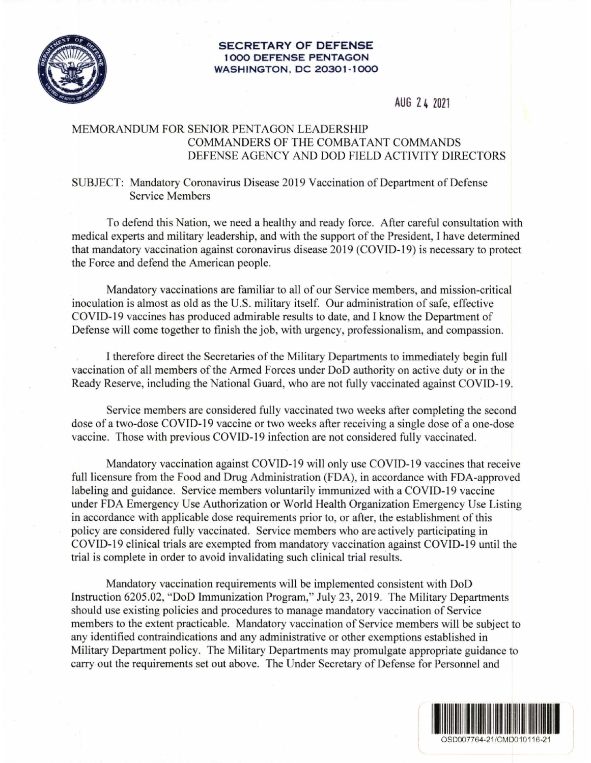## **SECRETARY OF DEFENSE 1000 DEFENSE PENTAGON WASHINGTON , DC 20301 - 1000**



## **AUG 2 4 2021**

## MEMORANDUM FOR SENIOR PENTAGON LEADERSHIP COMMANDERS OF THE COMBATANT COMMANDS DEFENSE AGENCY AND DOD FIELD ACTIVITY DIRECTORS

## SUBJECT: Mandatory Coronavirus Disease 2019 Vaccination of Department of Defense Service Members

To defend this Nation, we need a healthy and ready force. After careful consultation with medical experts and military leadership, and with the support of the President, I have determined that mandatory vaccination against coronavirus disease 2019 (COVID-19) is necessary to protect the Force and defend the American people.

Mandatory vaccinations are familiar to all of our Service members, and mission-critical inoculation is almost as old as the U.S. military itself. Our administration of safe, effective COVID-19 vaccines has produced admirable results to date, and I know the Department of Defense will come together to finish the job, with urgency, professionalism, and compassion.

I therefore direct the Secretaries of the Military Departments to immediately begin full vaccination of all members of the Armed Forces under DoD authority on active duty or in the Ready Reserve, including the National Guard, who are not fully vaccinated against COVID-19.

Service members are considered fully vaccinated two weeks after completing the second dose of a two-dose COVID-19 vaccine or two weeks after receiving a single dose of a one-dose vaccine. Those with previous COVID-19 infection are not considered fully vaccinated.

Mandatory vaccination against COVID-19 will only use COVID-19 vaccines that receive full licensure from the Food and Drug Administration (FDA), in accordance with FDA-approved labeling and guidance. Service members voluntarily immunized with a COVID-19 vaccine under FDA Emergency Use Authorization or World Health Organization Emergency Use Listing in accordance with applicable dose requirements prior to, or after, the establishment of this policy are considered fully vaccinated. Service members who are actively participating in COVID-19 clinical trials are exempted from mandatory vaccination against COVID-19 until the trial is complete in order to avoid invalidating such clinical trial results.

Mandatory vaccination requirements will be implemented consistent with DoD Instruction 6205.02, "DoD Immunization Program," July 23, 2019. The Military Departments should use existing policies and procedures to manage mandatory vaccination of Service members to the extent practicable. Mandatory vaccination of Service members will be subject to any identified contraindications and any administrative or other exemptions established in Military Department policy. The Military Departments may promulgate appropriate guidance to carry out the requirements set out above. The Under Secretary of Defense for Personnel and